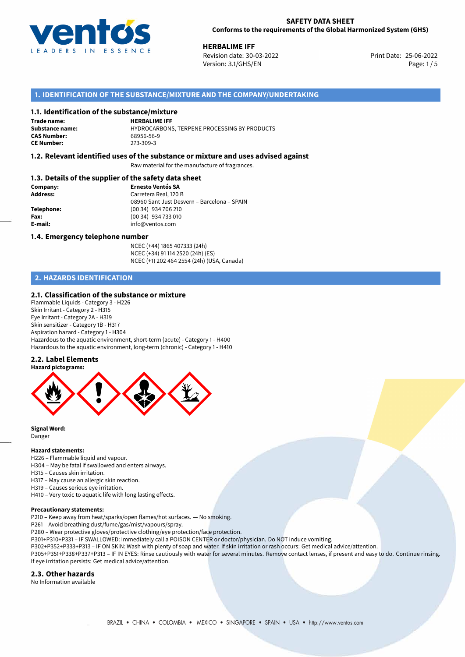

**HERBALIME IFF**<br>
Revision date: 30-03-2022 **Alternative State: 25-06-2022** Print Date: 25-06-2022 Revision date: 30-03-2022 Version: 3.1/GHS/EN Page: 1 / 5

## **1. IDENTIFICATION OF THE SUBSTANCE/MIXTURE AND THE COMPANY/UNDERTAKING**

## **1.1. Identification of the substance/mixture**

**Trade name:**

**CAS Number:** 

**HERBALIME IFF Substance name:** HYDROCARBONS, TERPENE PROCESSING BY-PRODUCTS **CE Number:** 273-309-3

## **1.2. Relevant identified uses of the substance or mixture and uses advised against**

Raw material for the manufacture of fragrances.

## **1.3. Details of the supplier of the safety data sheet**

| Company:   | <b>Ernesto Ventós SA</b>                    |
|------------|---------------------------------------------|
| Address:   | Carretera Real, 120 B                       |
|            | 08960 Sant Just Desvern - Barcelona - SPAIN |
| Telephone: | (00 34) 934 706 210                         |
| Fax:       | (00 34) 934 733 010                         |
| E-mail:    | info@ventos.com                             |
|            |                                             |

#### **1.4. Emergency telephone number**

NCEC (+44) 1865 407333 (24h) NCEC (+34) 91 114 2520 (24h) (ES) NCEC (+1) 202 464 2554 (24h) (USA, Canada)

## **2. HAZARDS IDENTIFICATION**

## **2.1. Classification of the substance or mixture**

Flammable Liquids - Category 3 - H226 Skin Irritant - Category 2 - H315 Eye Irritant - Category 2A - H319 Skin sensitizer - Category 1B - H317 Aspiration hazard - Category 1 - H304 Hazardous to the aquatic environment, short-term (acute) - Category 1 - H400 Hazardous to the aquatic environment, long-term (chronic) - Category 1 - H410

## **2.2. Label Elements**



**Signal Word:** Danger

#### **Hazard statements:**

- H226 Flammable liquid and vapour.
- H304 May be fatal if swallowed and enters airways.
- H315 Causes skin irritation.
- H317 May cause an allergic skin reaction.
- H319 Causes serious eye irritation.
- H410 Very toxic to aquatic life with long lasting effects.

#### **Precautionary statements:**

- P210 Keep away from heat/sparks/open flames/hot surfaces. No smoking.
- P261 Avoid breathing dust/fume/gas/mist/vapours/spray.
- P280 Wear protective gloves/protective clothing/eye protection/face protection.
- P301+P310+P331 IF SWALLOWED: Immediately call a POISON CENTER or doctor/physician. Do NOT induce vomiting.
- P302+P352+P333+P313 IF ON SKIN: Wash with plenty of soap and water. If skin irritation or rash occurs: Get medical advice/attention.
- P305+P351+P338+P337+P313 IF IN EYES: Rinse cautiously with water for several minutes. Remove contact lenses, if present and easy to do. Continue rinsing. If eye irritation persists: Get medical advice/attention.

#### **2.3. Other hazards**

No Information available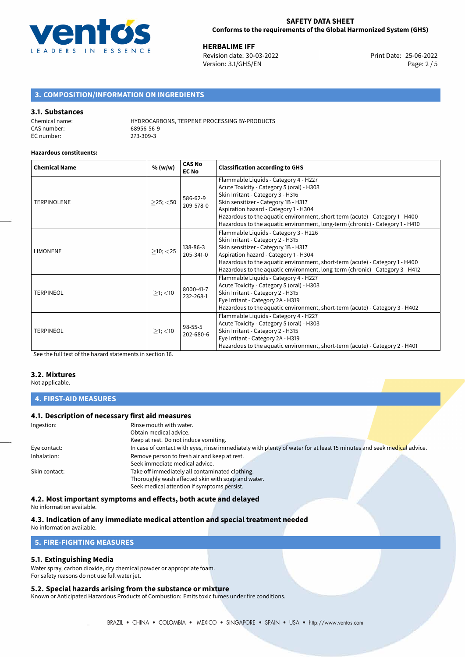

**HERBALIME IFF**<br>
Revision date: 30-03-2022 **Accord Print Date: 25-06-2022** Version: 3.1/GHS/EN Page: 2 / 5

## **3. COMPOSITION/INFORMATION ON INGREDIENTS**

## **3.1. Substances**

| Chemical name: | <b>HYDROCARBONS, TERPENE PROCESSING BY-PRODUCTS</b> |
|----------------|-----------------------------------------------------|
| CAS number:    | 68956-56-9                                          |
| EC number:     | 273-309-3                                           |

#### **Hazardous constituents:**

| <b>Chemical Name</b> | % (w/w)                                    | <b>CAS No</b><br><b>EC No</b>                                                                                                                                                                                                                                          | <b>Classification according to GHS</b>                                                                                                                                                                                                                                                                                                                                    |  |
|----------------------|--------------------------------------------|------------------------------------------------------------------------------------------------------------------------------------------------------------------------------------------------------------------------------------------------------------------------|---------------------------------------------------------------------------------------------------------------------------------------------------------------------------------------------------------------------------------------------------------------------------------------------------------------------------------------------------------------------------|--|
| <b>TERPINOLENE</b>   | 586-62-9<br>$\geq$ 25; $<$ 50<br>209-578-0 |                                                                                                                                                                                                                                                                        | Flammable Liquids - Category 4 - H227<br>Acute Toxicity - Category 5 (oral) - H303<br>Skin Irritant - Category 3 - H316<br>Skin sensitizer - Category 1B - H317<br>Aspiration hazard - Category 1 - H304<br>Hazardous to the aquatic environment, short-term (acute) - Category 1 - H400<br>Hazardous to the aquatic environment, long-term (chronic) - Category 1 - H410 |  |
| <b>LIMONENE</b>      | $>10$ ; $<$ 25                             | 138-86-3<br>205-341-0                                                                                                                                                                                                                                                  | Flammable Liquids - Category 3 - H226<br>Skin Irritant - Category 2 - H315<br>Skin sensitizer - Category 1B - H317<br>Aspiration hazard - Category 1 - H304<br>Hazardous to the aquatic environment, short-term (acute) - Category 1 - H400<br>Hazardous to the aquatic environment, long-term (chronic) - Category 3 - H412                                              |  |
| <b>TERPINEOL</b>     | $>1$ ; $<$ 10                              | Flammable Liquids - Category 4 - H227<br>Acute Toxicity - Category 5 (oral) - H303<br>8000-41-7<br>Skin Irritant - Category 2 - H315<br>232-268-1<br>Eye Irritant - Category 2A - H319<br>Hazardous to the aquatic environment, short-term (acute) - Category 3 - H402 |                                                                                                                                                                                                                                                                                                                                                                           |  |
| <b>TERPINEOL</b>     | $>1$ ; $<$ 10                              | $98 - 55 - 5$<br>202-680-6                                                                                                                                                                                                                                             | Flammable Liquids - Category 4 - H227<br>Acute Toxicity - Category 5 (oral) - H303<br>Skin Irritant - Category 2 - H315<br>Eye Irritant - Category 2A - H319<br>Hazardous to the aquatic environment, short-term (acute) - Category 2 - H401                                                                                                                              |  |

[See the full text of the hazard statements in section 16.](#page-4-0)

## **3.2. Mixtures**

Not applicable.

## **4. FIRST-AID MEASURES**

## **4.1. Description of necessary first aid measures**

| Ingestion:    | Rinse mouth with water.                                                                                               |  |
|---------------|-----------------------------------------------------------------------------------------------------------------------|--|
|               | Obtain medical advice.                                                                                                |  |
|               | Keep at rest. Do not induce vomiting.                                                                                 |  |
| Eye contact:  | In case of contact with eyes, rinse immediately with plenty of water for at least 15 minutes and seek medical advice. |  |
| Inhalation:   | Remove person to fresh air and keep at rest.                                                                          |  |
|               | Seek immediate medical advice.                                                                                        |  |
| Skin contact: | Take off immediately all contaminated clothing.                                                                       |  |
|               | Thoroughly wash affected skin with soap and water.                                                                    |  |
|               | Seek medical attention if symptoms persist.                                                                           |  |
|               |                                                                                                                       |  |

## **4.2. Most important symptoms and effects, both acute and delayed**

No information available.

## **4.3. Indication of any immediate medical attention and special treatment needed**

No information available.

## **5. FIRE-FIGHTING MEASURES**

## **5.1. Extinguishing Media**

Water spray, carbon dioxide, dry chemical powder or appropriate foam. For safety reasons do not use full water jet.

## **5.2. Special hazards arising from the substance or mixture**

Known or Anticipated Hazardous Products of Combustion: Emits toxic fumes under fire conditions.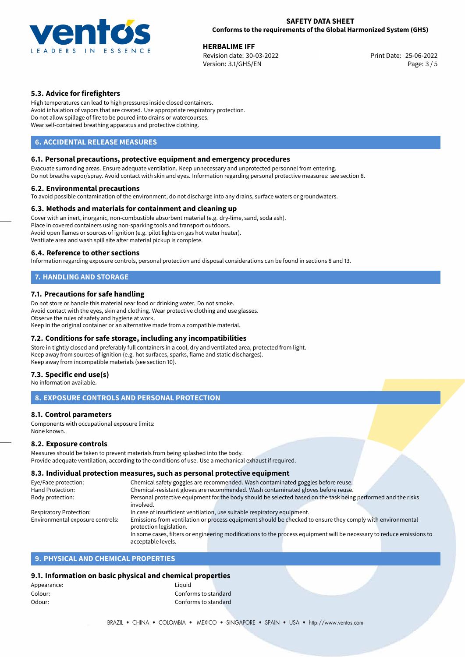

**HERBALIME IFF**<br>
Revision date: 30-03-2022 **Alternative State: 25-06-2022** Print Date: 25-06-2022 Revision date: 30-03-2022 Version: 3.1/GHS/EN Page: 3 / 5

## **5.3. Advice for firefighters**

High temperatures can lead to high pressures inside closed containers. Avoid inhalation of vapors that are created. Use appropriate respiratory protection. Do not allow spillage of fire to be poured into drains or watercourses. Wear self-contained breathing apparatus and protective clothing.

## **6. ACCIDENTAL RELEASE MEASURES**

## **6.1. Personal precautions, protective equipment and emergency procedures**

Evacuate surronding areas. Ensure adequate ventilation. Keep unnecessary and unprotected personnel from entering. Do not breathe vapor/spray. Avoid contact with skin and eyes. Information regarding personal protective measures: see section 8.

#### **6.2. Environmental precautions**

To avoid possible contamination of the environment, do not discharge into any drains, surface waters or groundwaters.

## **6.3. Methods and materials for containment and cleaning up**

Cover with an inert, inorganic, non-combustible absorbent material (e.g. dry-lime, sand, soda ash). Place in covered containers using non-sparking tools and transport outdoors. Avoid open flames or sources of ignition (e.g. pilot lights on gas hot water heater). Ventilate area and wash spill site after material pickup is complete.

## **6.4. Reference to other sections**

Information regarding exposure controls, personal protection and disposal considerations can be found in sections 8 and 13.

## **7. HANDLING AND STORAGE**

## **7.1. Precautions for safe handling**

Do not store or handle this material near food or drinking water. Do not smoke. Avoid contact with the eyes, skin and clothing. Wear protective clothing and use glasses. Observe the rules of safety and hygiene at work. Keep in the original container or an alternative made from a compatible material.

## **7.2. Conditions for safe storage, including any incompatibilities**

Store in tightly closed and preferably full containers in a cool, dry and ventilated area, protected from light. Keep away from sources of ignition (e.g. hot surfaces, sparks, flame and static discharges). Keep away from incompatible materials (see section 10).

## **7.3. Specific end use(s)**

No information available.

## **8. EXPOSURE CONTROLS AND PERSONAL PROTECTION**

## **8.1. Control parameters**

Components with occupational exposure limits: None known.

## **8.2. Exposure controls**

Measures should be taken to prevent materials from being splashed into the body. Provide adequate ventilation, according to the conditions of use. Use a mechanical exhaust if required.

## **8.3. Individual protection measures, such as personal protective equipment**

| Eye/Face protection:             | Chemical safety goggles are recommended. Wash contaminated goggles before reuse.                                      |  |  |
|----------------------------------|-----------------------------------------------------------------------------------------------------------------------|--|--|
| Hand Protection:                 | Chemical-resistant gloves are recommended. Wash contaminated gloves before reuse.                                     |  |  |
| Body protection:                 | Personal protective equipment for the body should be selected based on the task being performed and the risks         |  |  |
|                                  | involved.                                                                                                             |  |  |
| Respiratory Protection:          | In case of insufficient ventilation, use suitable respiratory equipment.                                              |  |  |
| Environmental exposure controls: | Emissions from ventilation or process equipment should be checked to ensure they comply with environmental            |  |  |
|                                  | protection legislation.                                                                                               |  |  |
|                                  | In some cases, filters or engineering modifications to the process equipment will be necessary to reduce emissions to |  |  |
|                                  | acceptable levels.                                                                                                    |  |  |

## **9. PHYSICAL AND CHEMICAL PROPERTIES**

## **9.1. Information on basic physical and chemical properties**

| Liauid               |  |
|----------------------|--|
| Conforms to standard |  |
| Conforms to standard |  |
|                      |  |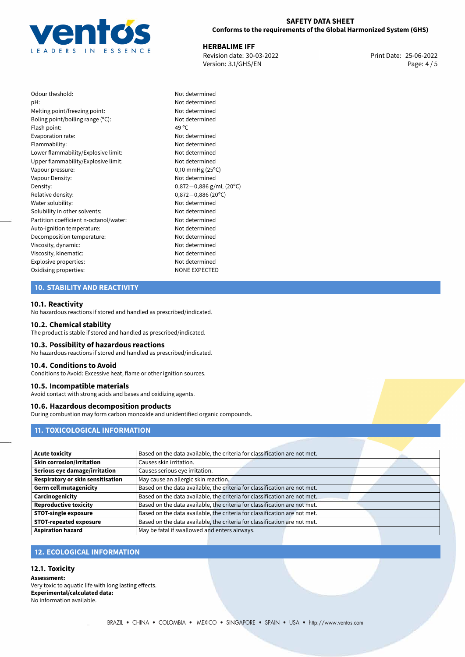

**HERBALIME IFF**<br>
Revision date: 30-03-2022 **Accord Print Date: 25-06-2022** Version: 3.1/GHS/EN Page: 4 / 5

| Odour theshold:                        | Not c |
|----------------------------------------|-------|
| pH:                                    | Not c |
| Melting point/freezing point:          | Not c |
| Boling point/boiling range (°C):       | Not c |
| Flash point:                           | 49 °C |
| Evaporation rate:                      | Not c |
| Flammability:                          | Not c |
| Lower flammability/Explosive limit:    | Not c |
| Upper flammability/Explosive limit:    | Not c |
| Vapour pressure:                       | 0,10r |
| Vapour Density:                        | Not c |
| Density:                               | 0,872 |
| Relative density:                      | 0,872 |
| Water solubility:                      | Not c |
| Solubility in other solvents:          | Not c |
| Partition coefficient n-octanol/water: | Not c |
| Auto-ignition temperature:             | Not c |
| Decomposition temperature:             | Not c |
| Viscosity, dynamic:                    | Not c |
| Viscosity, kinematic:                  | Not c |
| Explosive properties:                  | Not c |
| Oxidising properties:                  | NONI  |
|                                        |       |

Not determined Not determined Not determined Not determined Not determined Not determined Not determined Not determined  $0,10$  mmHg (25 $^{\circ}$ C) Not determined Density: 0,872*−*0,886 g/mL (20ºC) Relative density: 0,872*−*0,886 (20ºC) Not determined Not determined Not determined Not determined Not determined Not determined Not determined Not determined **NONE EXPECTED** 

## **10. STABILITY AND REACTIVITY**

#### **10.1. Reactivity**

No hazardous reactions if stored and handled as prescribed/indicated.

#### **10.2. Chemical stability**

The product is stable if stored and handled as prescribed/indicated.

#### **10.3. Possibility of hazardous reactions**

No hazardous reactions if stored and handled as prescribed/indicated.

#### **10.4. Conditions to Avoid**

Conditions to Avoid: Excessive heat, flame or other ignition sources.

#### **10.5. Incompatible materials**

Avoid contact with strong acids and bases and oxidizing agents.

## **10.6. Hazardous decomposition products**

During combustion may form carbon monoxide and unidentified organic compounds.

## **11. TOXICOLOGICAL INFORMATION**

| <b>Acute toxicity</b>                    | Based on the data available, the criteria for classification are not met. |  |
|------------------------------------------|---------------------------------------------------------------------------|--|
| <b>Skin corrosion/irritation</b>         | Causes skin irritation.                                                   |  |
| Serious eye damage/irritation            | Causes serious eye irritation.                                            |  |
| <b>Respiratory or skin sensitisation</b> | May cause an allergic skin reaction.                                      |  |
| <b>Germ cell mutagenicity</b>            | Based on the data available, the criteria for classification are not met. |  |
| Carcinogenicity                          | Based on the data available, the criteria for classification are not met. |  |
| <b>Reproductive toxicity</b>             | Based on the data available, the criteria for classification are not met. |  |
| <b>STOT-single exposure</b>              | Based on the data available, the criteria for classification are not met. |  |
| <b>STOT-repeated exposure</b>            | Based on the data available, the criteria for classification are not met. |  |
| <b>Aspiration hazard</b>                 | May be fatal if swallowed and enters airways.                             |  |

## **12. ECOLOGICAL INFORMATION**

#### **12.1. Toxicity**

**Assessment:** Very toxic to aquatic life with long lasting effects. **Experimental/calculated data:** No information available.